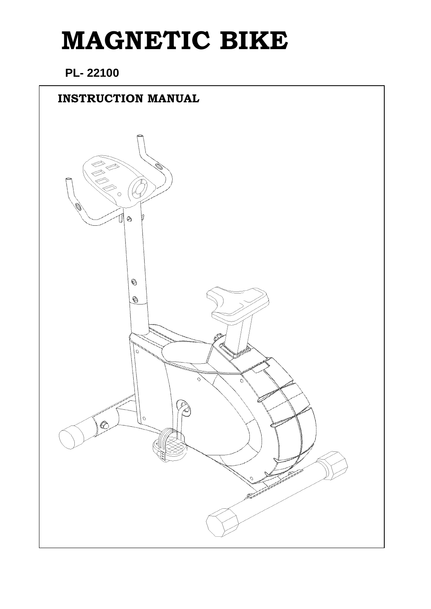# **MAGNETIC BIKE**

### **PL- 22100**

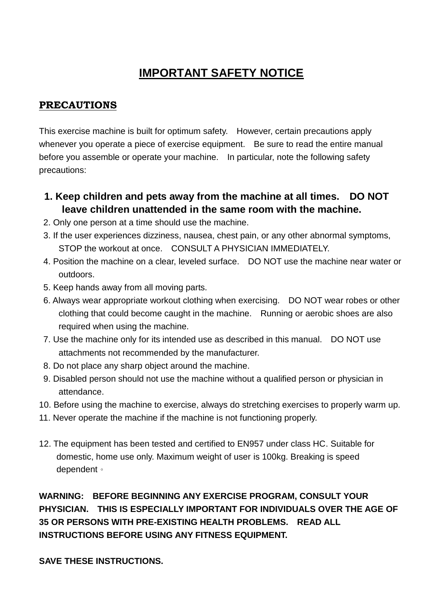## **IMPORTANT SAFETY NOTICE**

#### **PRECAUTIONS**

This exercise machine is built for optimum safety. However, certain precautions apply whenever you operate a piece of exercise equipment. Be sure to read the entire manual before you assemble or operate your machine. In particular, note the following safety precautions:

- **1. Keep children and pets away from the machine at all times. DO NOT leave children unattended in the same room with the machine.**
- 2. Only one person at a time should use the machine.
- 3. If the user experiences dizziness, nausea, chest pain, or any other abnormal symptoms, STOP the workout at once. CONSULT A PHYSICIAN IMMEDIATELY.
- 4. Position the machine on a clear, leveled surface. DO NOT use the machine near water or outdoors.
- 5. Keep hands away from all moving parts.
- 6. Always wear appropriate workout clothing when exercising. DO NOT wear robes or other clothing that could become caught in the machine. Running or aerobic shoes are also required when using the machine.
- 7. Use the machine only for its intended use as described in this manual. DO NOT use attachments not recommended by the manufacturer.
- 8. Do not place any sharp object around the machine.
- 9. Disabled person should not use the machine without a qualified person or physician in attendance.
- 10. Before using the machine to exercise, always do stretching exercises to properly warm up.
- 11. Never operate the machine if the machine is not functioning properly.
- 12. The equipment has been tested and certified to EN957 under class HC. Suitable for domestic, home use only. Maximum weight of user is 100kg. Breaking is speed dependent。

**WARNING: BEFORE BEGINNING ANY EXERCISE PROGRAM, CONSULT YOUR PHYSICIAN. THIS IS ESPECIALLY IMPORTANT FOR INDIVIDUALS OVER THE AGE OF 35 OR PERSONS WITH PRE-EXISTING HEALTH PROBLEMS. READ ALL INSTRUCTIONS BEFORE USING ANY FITNESS EQUIPMENT.** 

**SAVE THESE INSTRUCTIONS.**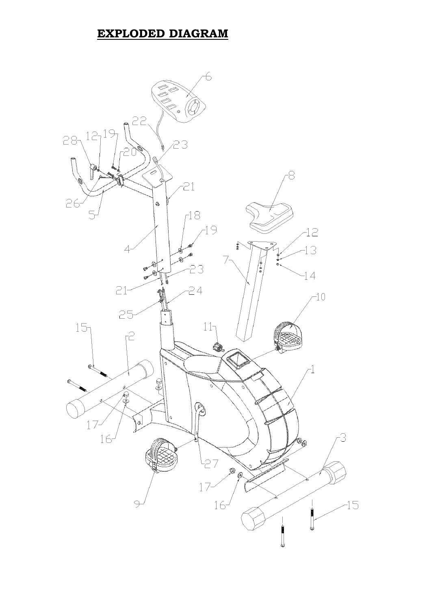### **EXPLODED DIAGRAM**

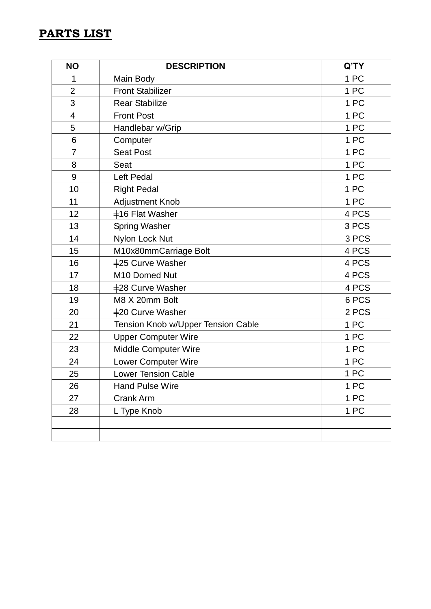#### **PARTS LIST**

| <b>NO</b>                | <b>DESCRIPTION</b>                 | Q'TY  |
|--------------------------|------------------------------------|-------|
| 1                        | Main Body                          | 1 PC  |
| $\overline{2}$           | <b>Front Stabilizer</b>            | 1 PC  |
| 3                        | <b>Rear Stabilize</b>              | 1 PC  |
| $\overline{\mathcal{A}}$ | <b>Front Post</b>                  | 1 PC  |
| 5                        | Handlebar w/Grip                   | 1 PC  |
| 6                        | Computer                           | 1 PC  |
| $\overline{7}$           | <b>Seat Post</b>                   | 1 PC  |
| 8                        | Seat                               | 1 PC  |
| 9                        | Left Pedal                         | 1 PC  |
| 10                       | <b>Right Pedal</b>                 | 1 PC  |
| 11                       | <b>Adjustment Knob</b>             | 1 PC  |
| 12                       | #16 Flat Washer                    | 4 PCS |
| 13                       | <b>Spring Washer</b>               | 3 PCS |
| 14                       | Nylon Lock Nut                     | 3 PCS |
| 15                       | M10x80mmCarriage Bolt              | 4 PCS |
| 16                       | +25 Curve Washer                   | 4 PCS |
| 17                       | M10 Domed Nut                      | 4 PCS |
| 18                       | +28 Curve Washer                   | 4 PCS |
| 19                       | M8 X 20mm Bolt                     | 6 PCS |
| 20                       | +20 Curve Washer                   | 2 PCS |
| 21                       | Tension Knob w/Upper Tension Cable | 1 PC  |
| 22                       | <b>Upper Computer Wire</b>         | 1 PC  |
| 23                       | Middle Computer Wire               | 1 PC  |
| 24                       | Lower Computer Wire                | 1 PC  |
| 25                       | <b>Lower Tension Cable</b>         | 1 PC  |
| 26                       | <b>Hand Pulse Wire</b>             | 1 PC  |
| 27                       | Crank Arm                          | 1 PC  |
| 28                       | L Type Knob                        | 1 PC  |
|                          |                                    |       |
|                          |                                    |       |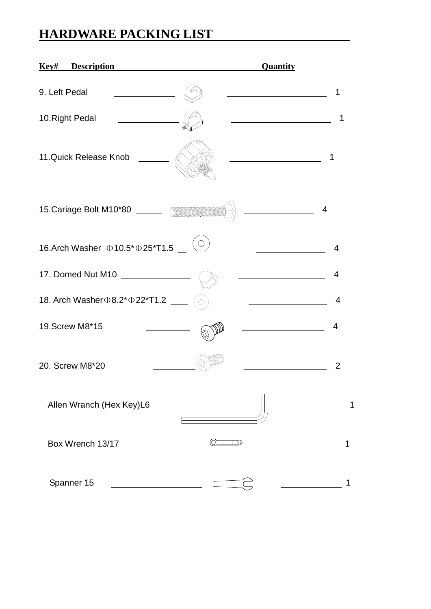# **HARDWARE PACKING LIST**

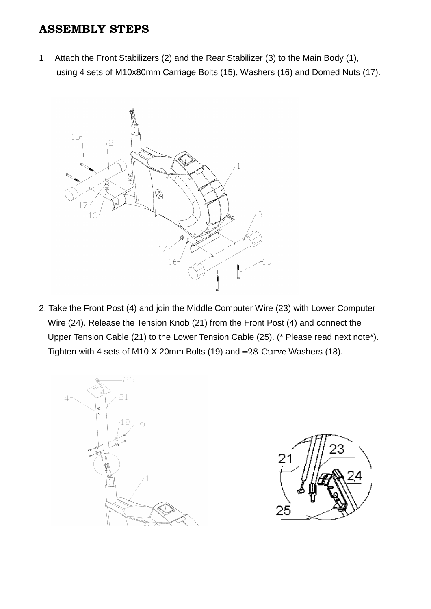#### **ASSEMBLY STEPS**

1. Attach the Front Stabilizers (2) and the Rear Stabilizer (3) to the Main Body (1), using 4 sets of M10x80mm Carriage Bolts (15), Washers (16) and Domed Nuts (17).



2. Take the Front Post (4) and join the Middle Computer Wire (23) with Lower Computer Wire (24). Release the Tension Knob (21) from the Front Post (4) and connect the Upper Tension Cable (21) to the Lower Tension Cable (25). (\* Please read next note\*). Tighten with 4 sets of M10 X 20mm Bolts (19) and  $\pm$ 28 Curve Washers (18).



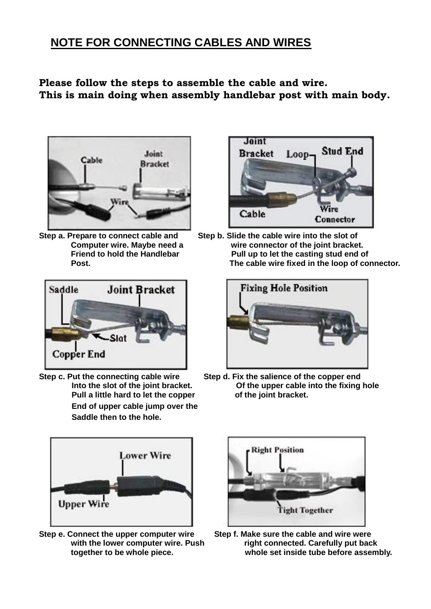### **NOTE FOR CONNECTING CABLES AND WIRES**

**Please follow the steps to assemble the cable and wire. This is main doing when assembly handlebar post with main body.** 





**Pull a little hard to let the copper End of upper cable jump over the Saddle then to the hole.**



Step a. Prepare to connect cable and Step b. Slide the cable wire into the slot of **Computer wire. Maybe need a wire connector of the joint bracket.**  Friend to hold the Handlebar **Pull up to let the casting stud end of Post. The cable wire fixed in the loop of connector.** 



**Step c. Put the connecting cable wire** Step d. Fix the salience of the copper end<br>Into the slot of the ioint bracket. Of the upper cable into the fixing Of the upper cable into the fixing hole of the joint bracket.



**Step e. Connect the upper computer wire Step f. Make sure the cable and wire were** 



with the lower computer wire. Push right connected. Carefully put back **together to be whole piece. whole set inside tube before assembly.**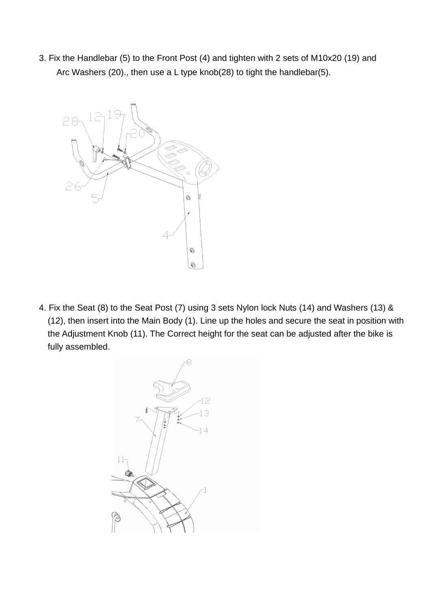3. Fix the Handlebar (5) to the Front Post (4) and tighten with 2 sets of M10x20 (19) and Arc Washers (20)., then use a L type knob(28) to tight the handlebar(5).



4. Fix the Seat (8) to the Seat Post (7) using 3 sets Nylon lock Nuts (14) and Washers (13) & (12), then insert into the Main Body (1). Line up the holes and secure the seat in position with the Adjustment Knob (11). The Correct height for the seat can be adjusted after the bike is fully assembled.